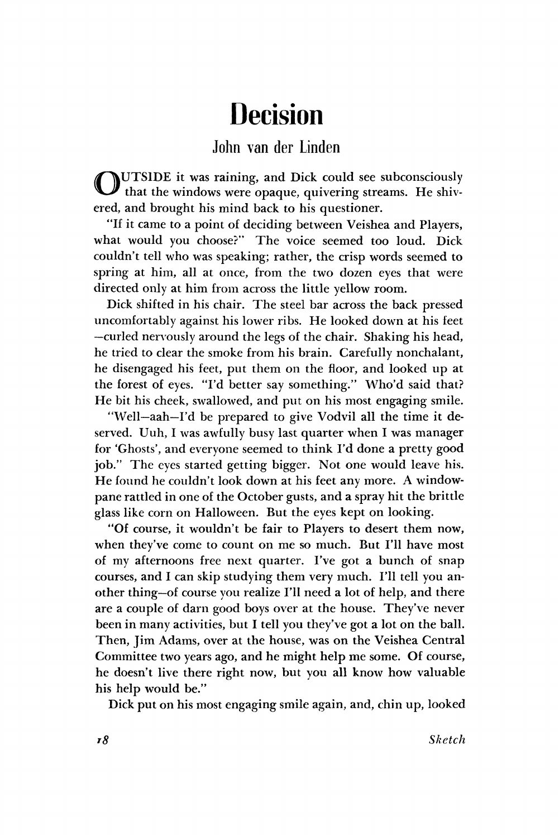## Decision

## John van der Linden

O UTSIDE it was raining, and Dick could see subconsciously If that the windows were opaque, quivering streams. He shivered, and brought his mind back to his questioner.

"If it came to a point of deciding between Veishea and Players, what would you choose?" The voice seemed too loud. Dick couldn't tell who was speaking; rather, the crisp words seemed to spring at him, all at once, from the two dozen eyes that were directed only at him from across the little yellow room.

Dick shifted in his chair. The steel bar across the back pressed uncomfortably against his lower ribs. He looked down at his feet —curled nervously around the legs of the chair. Shaking his head, he tried to clear the smoke from his brain. Carefully nonchalant, he disengaged his feet, put them on the floor, and looked up at the forest of eyes. "I'd better say something." Who'd said that? He bit his cheek, swallowed, and put on his most engaging smile.

"Well—aah—I'd be prepared to give Vodvil all the time it deserved. Uuh, I was awfully busy last quarter when I was manager for 'Ghosts', and everyone seemed to think I'd done a pretty good job." The eyes started getting bigger. Not one would leave his. He found he couldn't look down at his feet any more. A windowpane rattled in one of the October gusts, and a spray hit the brittle glass like corn on Halloween. But the eyes kept on looking.

"Of course, it wouldn't be fair to Players to desert them now, when they've come to count on me so much. But I'll have most of my afternoons free next quarter. I've got a bunch of snap courses, and I can skip studying them very much. I'll tell you another thing—of course you realize I'll need a lot of help, and there are a couple of darn good boys over at the house. They've never been in many activities, but I tell you they've got a lot on the ball. Then, Jim Adams, over at the house, was on the Veishea Central Committee two years ago, and he might help me some. Of course, he doesn't live there right now, but you all know how valuable his help would be."

Dick put on his most engaging smile again, and, chin up, looked